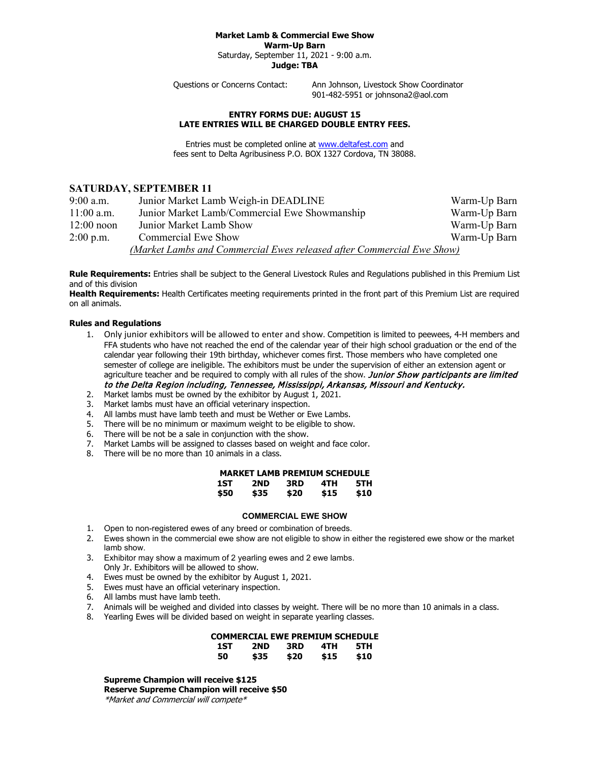#### **Market Lamb & Commercial Ewe Show Warm-Up Barn**

Saturday, September 11, 2021 - 9:00 a.m. **Judge: TBA**

Questions or Concerns Contact: Ann Johnson, Livestock Show Coordinator

901-482-5951 or johnsona2@aol.com

### **ENTRY FORMS DUE: AUGUST 15 LATE ENTRIES WILL BE CHARGED DOUBLE ENTRY FEES.**

Entries must be completed online at [www.deltafest.com](http://www.deltafest.com/) and fees sent to Delta Agribusiness P.O. BOX 1327 Cordova, TN 38088.

# **SATURDAY, SEPTEMBER 11**

| $9:00$ a.m.  | Junior Market Lamb Weigh-in DEADLINE                                  | Warm-Up Barn |  |  |
|--------------|-----------------------------------------------------------------------|--------------|--|--|
| $11:00$ a.m. | Junior Market Lamb/Commercial Ewe Showmanship                         | Warm-Up Barn |  |  |
| $12:00$ noon | Junior Market Lamb Show                                               | Warm-Up Barn |  |  |
| $2:00$ p.m.  | Commercial Ewe Show                                                   | Warm-Up Barn |  |  |
|              | (Market Lambs and Commercial Ewes released after Commercial Ewe Show) |              |  |  |

**Rule Requirements:** Entries shall be subject to the General Livestock Rules and Regulations published in this Premium List and of this division

**Health Requirements:** Health Certificates meeting requirements printed in the front part of this Premium List are required on all animals.

## **Rules and Regulations**

- 1. Only junior exhibitors will be allowed to enter and show. Competition is limited to peewees, 4-H members and FFA students who have not reached the end of the calendar year of their high school graduation or the end of the calendar year following their 19th birthday, whichever comes first. Those members who have completed one semester of college are ineligible. The exhibitors must be under the supervision of either an extension agent or agriculture teacher and be required to comply with all rules of the show. Junior Show participants are limited to the Delta Region including, Tennessee, Mississippi, Arkansas, Missouri and Kentucky.
- 2. Market lambs must be owned by the exhibitor by August 1, 2021.
- 3. Market lambs must have an official veterinary inspection.
- 4. All lambs must have lamb teeth and must be Wether or Ewe Lambs.
- 5. There will be no minimum or maximum weight to be eligible to show.
- 6. There will be not be a sale in conjunction with the show.
- 7. Market Lambs will be assigned to classes based on weight and face color.
- 8. There will be no more than 10 animals in a class.

| <b>MARKET LAMB PREMIUM SCHEDULE</b> |      |      |      |      |  |  |  |
|-------------------------------------|------|------|------|------|--|--|--|
| 1ST                                 | 2ND  | 3RD  | 4TH  | 5TH  |  |  |  |
| \$50                                | \$35 | \$20 | \$15 | \$10 |  |  |  |

### **COMMERCIAL EWE SHOW**

- 1. Open to non-registered ewes of any breed or combination of breeds.
- 2. Ewes shown in the commercial ewe show are not eligible to show in either the registered ewe show or the market lamb show.
- 3. Exhibitor may show a maximum of 2 yearling ewes and 2 ewe lambs. Only Jr. Exhibitors will be allowed to show.
- 4. Ewes must be owned by the exhibitor by August 1, 2021.
- 5. Ewes must have an official veterinary inspection.
- 6. All lambs must have lamb teeth.
- 7. Animals will be weighed and divided into classes by weight. There will be no more than 10 animals in a class.
- 8. Yearling Ewes will be divided based on weight in separate yearling classes.

|     | COMMERCIAL EWE PREMIUM SCHEDULE |      |      |      |
|-----|---------------------------------|------|------|------|
| 1ST | 2ND                             | 3RD  | 4TH  | 5TH  |
| 50  | \$35                            | \$20 | \$15 | \$10 |

**Supreme Champion will receive \$125 Reserve Supreme Champion will receive \$50** \*Market and Commercial will compete\*